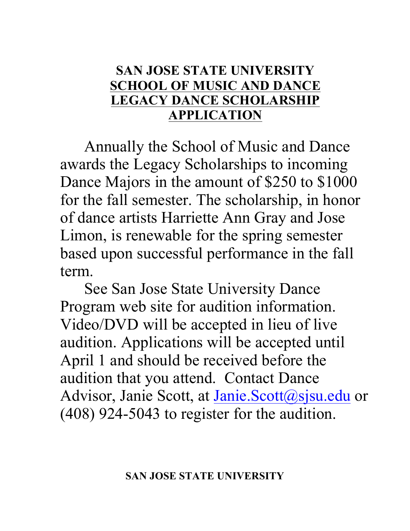## **SAN JOSE STATE UNIVERSITY SCHOOL OF MUSIC AND DANCE LEGACY DANCE SCHOLARSHIP APPLICATION**

Annually the School of Music and Dance awards the Legacy Scholarships to incoming Dance Majors in the amount of \$250 to \$1000 for the fall semester. The scholarship, in honor of dance artists Harriette Ann Gray and Jose Limon, is renewable for the spring semester based upon successful performance in the fall term.

See San Jose State University Dance Program web site for audition information. Video/DVD will be accepted in lieu of live audition. Applications will be accepted until April 1 and should be received before the audition that you attend. Contact Dance Advisor, Janie Scott, at Janie. Scott@sjsu.edu or (408) 924-5043 to register for the audition.